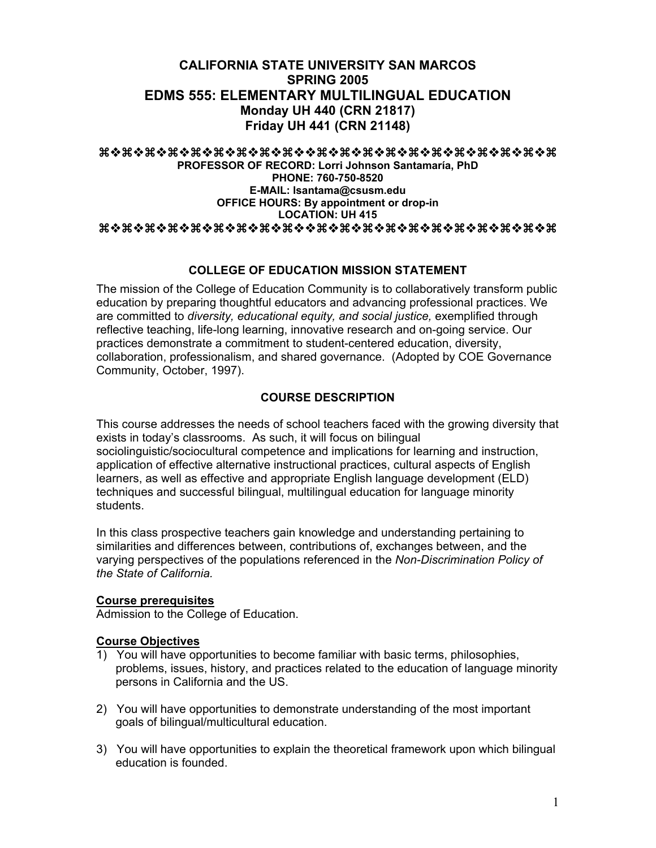# **CALIFORNIA STATE UNIVERSITY SAN MARCOS SPRING 2005 EDMS 555: ELEMENTARY MULTILINGUAL EDUCATION Monday UH 440 (CRN 21817) Friday UH 441 (CRN 21148)**

### aaaaaaaaaaaaaaaaaaaa

**PROFESSOR OF RECORD: Lorri Johnson Santamaría, PhD PHONE: 760-750-8520 E-MAIL: lsantama@csusm.edu OFFICE HOURS: By appointment or drop-in LOCATION: UH 415**  aaaaaaaaaaaaaaaaaaaa

# **COLLEGE OF EDUCATION MISSION STATEMENT**

The mission of the College of Education Community is to collaboratively transform public education by preparing thoughtful educators and advancing professional practices. We are committed to *diversity, educational equity, and social justice,* exemplified through reflective teaching, life-long learning, innovative research and on-going service. Our practices demonstrate a commitment to student-centered education, diversity, collaboration, professionalism, and shared governance. (Adopted by COE Governance Community, October, 1997).

# **COURSE DESCRIPTION**

This course addresses the needs of school teachers faced with the growing diversity that exists in today's classrooms. As such, it will focus on bilingual sociolinguistic/sociocultural competence and implications for learning and instruction, application of effective alternative instructional practices, cultural aspects of English learners, as well as effective and appropriate English language development (ELD) techniques and successful bilingual, multilingual education for language minority students.

In this class prospective teachers gain knowledge and understanding pertaining to similarities and differences between, contributions of, exchanges between, and the varying perspectives of the populations referenced in the *Non-Discrimination Policy of the State of California.*

# **Course prerequisites**

Admission to the College of Education.

# **Course Objectives**

- 1) You will have opportunities to become familiar with basic terms, philosophies, problems, issues, history, and practices related to the education of language minority persons in California and the US.
- 2) You will have opportunities to demonstrate understanding of the most important goals of bilingual/multicultural education.
- 3) You will have opportunities to explain the theoretical framework upon which bilingual education is founded.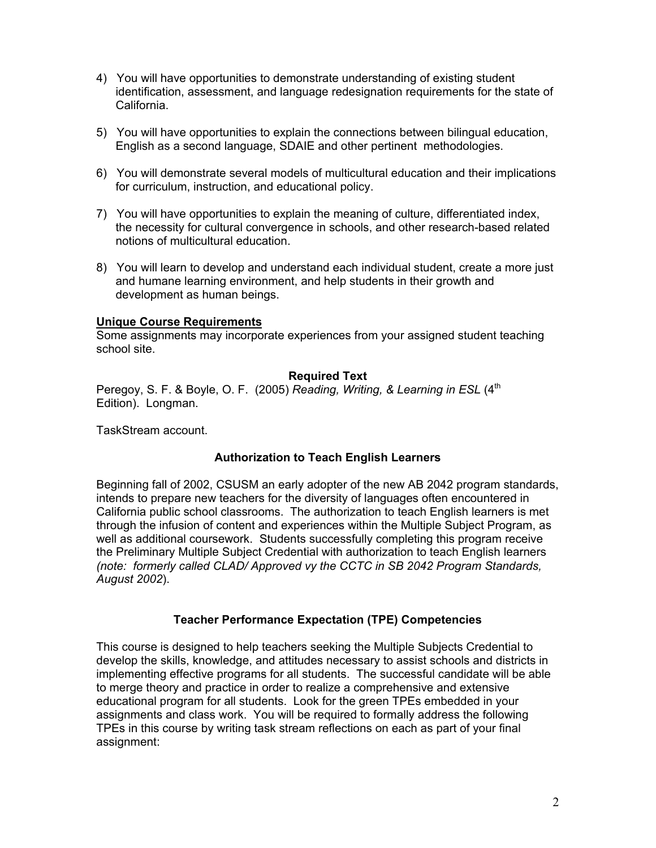- 4) You will have opportunities to demonstrate understanding of existing student identification, assessment, and language redesignation requirements for the state of California.
- 5) You will have opportunities to explain the connections between bilingual education, English as a second language, SDAIE and other pertinent methodologies.
- 6) You will demonstrate several models of multicultural education and their implications for curriculum, instruction, and educational policy.
- 7) You will have opportunities to explain the meaning of culture, differentiated index, the necessity for cultural convergence in schools, and other research-based related notions of multicultural education.
- 8) You will learn to develop and understand each individual student, create a more just and humane learning environment, and help students in their growth and development as human beings.

# **Unique Course Requirements**

Some assignments may incorporate experiences from your assigned student teaching school site.

### **Required Text**

Peregoy, S. F. & Boyle, O. F. (2005) *Reading, Writing, & Learning in ESL* (4<sup>th</sup>) Edition). Longman.

TaskStream account.

# **Authorization to Teach English Learners**

Beginning fall of 2002, CSUSM an early adopter of the new AB 2042 program standards, intends to prepare new teachers for the diversity of languages often encountered in California public school classrooms. The authorization to teach English learners is met through the infusion of content and experiences within the Multiple Subject Program, as well as additional coursework. Students successfully completing this program receive the Preliminary Multiple Subject Credential with authorization to teach English learners *(note: formerly called CLAD/ Approved vy the CCTC in SB 2042 Program Standards, August 2002*).

# **Teacher Performance Expectation (TPE) Competencies**

This course is designed to help teachers seeking the Multiple Subjects Credential to develop the skills, knowledge, and attitudes necessary to assist schools and districts in implementing effective programs for all students. The successful candidate will be able to merge theory and practice in order to realize a comprehensive and extensive educational program for all students. Look for the green TPEs embedded in your assignments and class work. You will be required to formally address the following TPEs in this course by writing task stream reflections on each as part of your final assignment: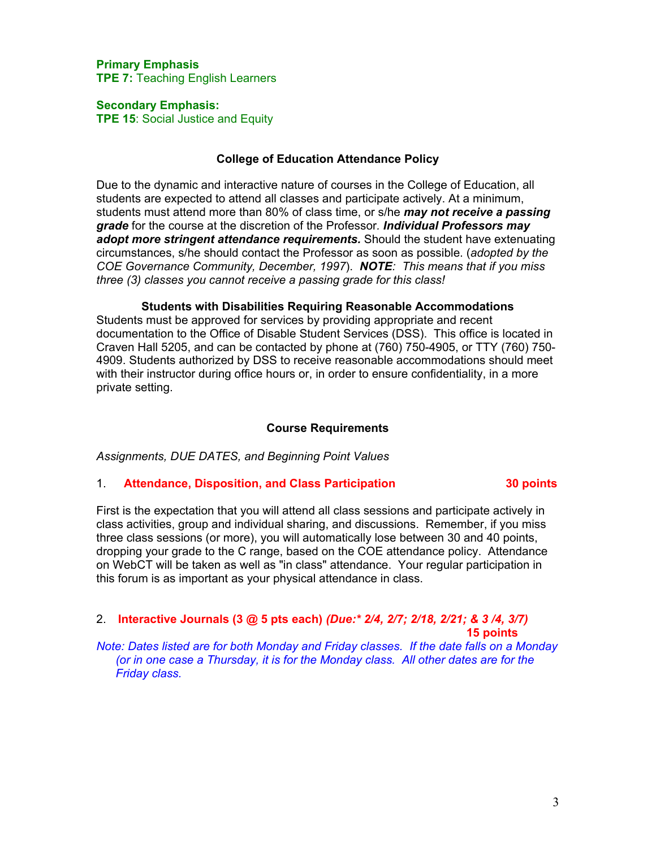### **Primary Emphasis TPE 7:** Teaching English Learners

#### **Secondary Emphasis:**

**TPE 15**: Social Justice and Equity

### **College of Education Attendance Policy**

Due to the dynamic and interactive nature of courses in the College of Education, all students are expected to attend all classes and participate actively. At a minimum, students must attend more than 80% of class time, or s/he *may not receive a passing grade* for the course at the discretion of the Professor*. Individual Professors may adopt more stringent attendance requirements.* Should the student have extenuating circumstances, s/he should contact the Professor as soon as possible. (*adopted by the COE Governance Community, December, 1997*). *NOTE: This means that if you miss three (3) classes you cannot receive a passing grade for this class!*

**Students with Disabilities Requiring Reasonable Accommodations**  Students must be approved for services by providing appropriate and recent documentation to the Office of Disable Student Services (DSS). This office is located in Craven Hall 5205, and can be contacted by phone at (760) 750-4905, or TTY (760) 750- 4909. Students authorized by DSS to receive reasonable accommodations should meet with their instructor during office hours or, in order to ensure confidentiality, in a more private setting.

# **Course Requirements**

*Assignments, DUE DATES, and Beginning Point Values* 

# 1. **Attendance, Disposition, and Class Participation 30 points**

First is the expectation that you will attend all class sessions and participate actively in class activities, group and individual sharing, and discussions. Remember, if you miss three class sessions (or more), you will automatically lose between 30 and 40 points, dropping your grade to the C range, based on the COE attendance policy. Attendance on WebCT will be taken as well as "in class" attendance. Your regular participation in this forum is as important as your physical attendance in class.

### 2. **Interactive Journals (3 @ 5 pts each)** *(Due:\* 2/4, 2/7; 2/18, 2/21; & 3 /4, 3/7)* **15 points** *Note: Dates listed are for both Monday and Friday classes. If the date falls on a Monday (or in one case a Thursday, it is for the Monday class. All other dates are for the Friday class.*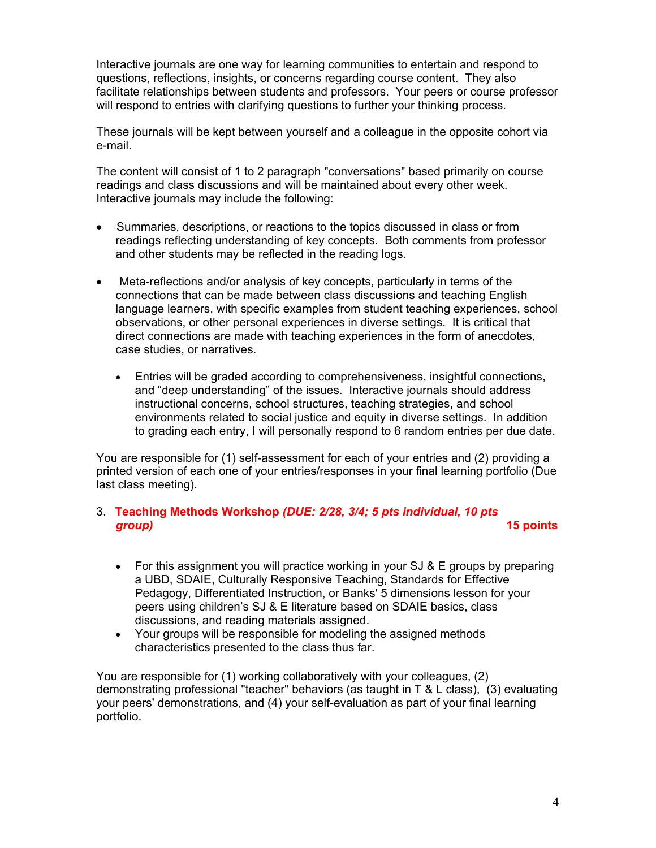Interactive journals are one way for learning communities to entertain and respond to questions, reflections, insights, or concerns regarding course content. They also facilitate relationships between students and professors. Your peers or course professor will respond to entries with clarifying questions to further your thinking process.

These journals will be kept between yourself and a colleague in the opposite cohort via e-mail.

The content will consist of 1 to 2 paragraph "conversations" based primarily on course readings and class discussions and will be maintained about every other week. Interactive journals may include the following:

- Summaries, descriptions, or reactions to the topics discussed in class or from readings reflecting understanding of key concepts. Both comments from professor and other students may be reflected in the reading logs.
- Meta-reflections and/or analysis of key concepts, particularly in terms of the connections that can be made between class discussions and teaching English language learners, with specific examples from student teaching experiences, school observations, or other personal experiences in diverse settings. It is critical that direct connections are made with teaching experiences in the form of anecdotes, case studies, or narratives.
	- Entries will be graded according to comprehensiveness, insightful connections, and "deep understanding" of the issues. Interactive journals should address instructional concerns, school structures, teaching strategies, and school environments related to social justice and equity in diverse settings. In addition to grading each entry, I will personally respond to 6 random entries per due date.

You are responsible for (1) self-assessment for each of your entries and (2) providing a printed version of each one of your entries/responses in your final learning portfolio (Due last class meeting).

# 3. **Teaching Methods Workshop** *(DUE: 2/28, 3/4; 5 pts individual, 10 pts group)* **15 points**

- For this assignment you will practice working in your SJ & E groups by preparing a UBD, SDAIE, Culturally Responsive Teaching, Standards for Effective Pedagogy, Differentiated Instruction, or Banks' 5 dimensions lesson for your peers using children's SJ & E literature based on SDAIE basics, class discussions, and reading materials assigned.
- Your groups will be responsible for modeling the assigned methods characteristics presented to the class thus far.

You are responsible for (1) working collaboratively with your colleagues, (2) demonstrating professional "teacher" behaviors (as taught in T & L class), (3) evaluating your peers' demonstrations, and (4) your self-evaluation as part of your final learning portfolio.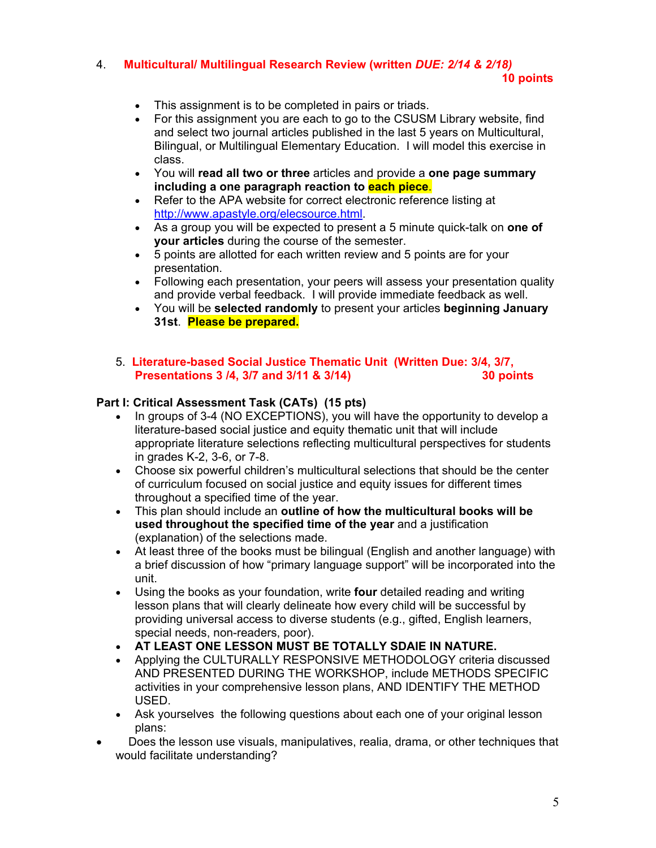# 4. **Multicultural/ Multilingual Research Review (written** *DUE: 2/14 & 2/18)*

#### **10 points**

- This assignment is to be completed in pairs or triads.
- For this assignment you are each to go to the CSUSM Library website, find and select two journal articles published in the last 5 years on Multicultural, Bilingual, or Multilingual Elementary Education. I will model this exercise in class.
- You will **read all two or three** articles and provide a **one page summary including a one paragraph reaction to each piece**.
- Refer to the APA website for correct electronic reference listing at http://www.apastyle.org/elecsource.html.
- As a group you will be expected to present a 5 minute quick-talk on **one of your articles** during the course of the semester.
- 5 points are allotted for each written review and 5 points are for your presentation.
- Following each presentation, your peers will assess your presentation quality and provide verbal feedback. I will provide immediate feedback as well.
- You will be **selected randomly** to present your articles **beginning January 31st**. **Please be prepared.**
- 5. **Literature-based Social Justice Thematic Unit (Written Due: 3/4, 3/7, Presentations 3 /4, 3/7 and 3/11 & 3/14) 30 points**

### **Part I: Critical Assessment Task (CATs) (15 pts)**

- In groups of 3-4 (NO EXCEPTIONS), you will have the opportunity to develop a literature-based social justice and equity thematic unit that will include appropriate literature selections reflecting multicultural perspectives for students in grades K-2, 3-6, or 7-8.
- Choose six powerful children's multicultural selections that should be the center of curriculum focused on social justice and equity issues for different times throughout a specified time of the year.
- This plan should include an **outline of how the multicultural books will be used throughout the specified time of the year** and a justification (explanation) of the selections made.
- At least three of the books must be bilingual (English and another language) with a brief discussion of how "primary language support" will be incorporated into the unit.
- Using the books as your foundation, write **four** detailed reading and writing lesson plans that will clearly delineate how every child will be successful by providing universal access to diverse students (e.g., gifted, English learners, special needs, non-readers, poor).
- **AT LEAST ONE LESSON MUST BE TOTALLY SDAIE IN NATURE.**
- Applying the CULTURALLY RESPONSIVE METHODOLOGY criteria discussed AND PRESENTED DURING THE WORKSHOP, include METHODS SPECIFIC activities in your comprehensive lesson plans, AND IDENTIFY THE METHOD USED.
- Ask yourselves the following questions about each one of your original lesson plans:
- Does the lesson use visuals, manipulatives, realia, drama, or other techniques that would facilitate understanding?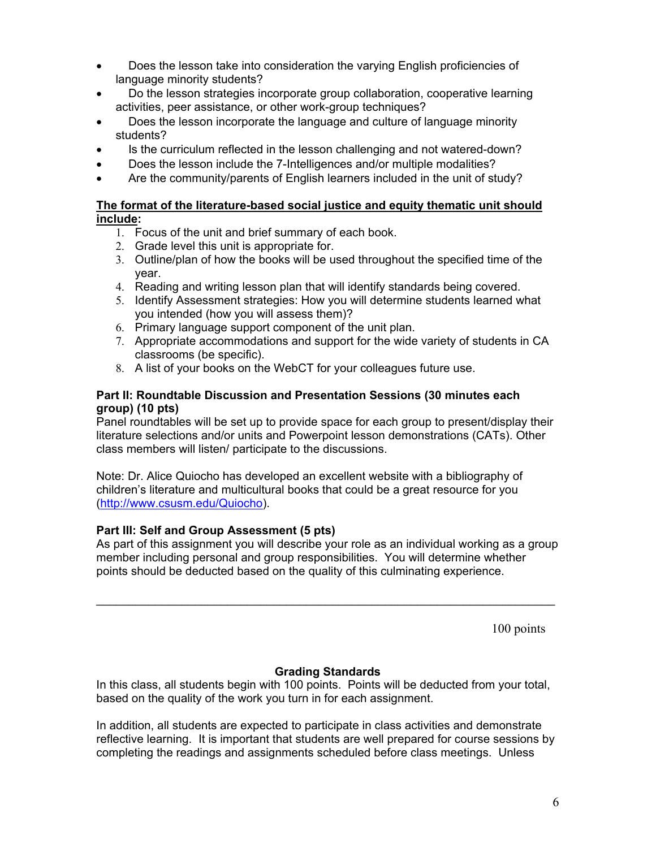- Does the lesson take into consideration the varying English proficiencies of language minority students?
- Do the lesson strategies incorporate group collaboration, cooperative learning activities, peer assistance, or other work-group techniques?
- Does the lesson incorporate the language and culture of language minority students?
- Is the curriculum reflected in the lesson challenging and not watered-down?
- Does the lesson include the 7-Intelligences and/or multiple modalities?
- Are the community/parents of English learners included in the unit of study?

# **The format of the literature-based social justice and equity thematic unit should include:**

- 1. Focus of the unit and brief summary of each book.
- 2. Grade level this unit is appropriate for.
- 3. Outline/plan of how the books will be used throughout the specified time of the year.
- 4. Reading and writing lesson plan that will identify standards being covered.
- 5. Identify Assessment strategies: How you will determine students learned what you intended (how you will assess them)?
- 6. Primary language support component of the unit plan.
- 7. Appropriate accommodations and support for the wide variety of students in CA classrooms (be specific).
- 8. A list of your books on the WebCT for your colleagues future use.

# **Part II: Roundtable Discussion and Presentation Sessions (30 minutes each group) (10 pts)**

Panel roundtables will be set up to provide space for each group to present/display their literature selections and/or units and Powerpoint lesson demonstrations (CATs). Other class members will listen/ participate to the discussions.

Note: Dr. Alice Quiocho has developed an excellent website with a bibliography of children's literature and multicultural books that could be a great resource for you (http://www.csusm.edu/Quiocho).

# **Part III: Self and Group Assessment (5 pts)**

As part of this assignment you will describe your role as an individual working as a group member including personal and group responsibilities. You will determine whether points should be deducted based on the quality of this culminating experience.

\_\_\_\_\_\_\_\_\_\_\_\_\_\_\_\_\_\_\_\_\_\_\_\_\_\_\_\_\_\_\_\_\_\_\_\_\_\_\_\_\_\_\_\_\_\_\_\_\_\_\_\_\_\_\_\_\_\_\_\_\_\_\_\_\_\_\_\_\_\_

100 points

# **Grading Standards**

In this class, all students begin with 100 points. Points will be deducted from your total, based on the quality of the work you turn in for each assignment.

In addition, all students are expected to participate in class activities and demonstrate reflective learning. It is important that students are well prepared for course sessions by completing the readings and assignments scheduled before class meetings. Unless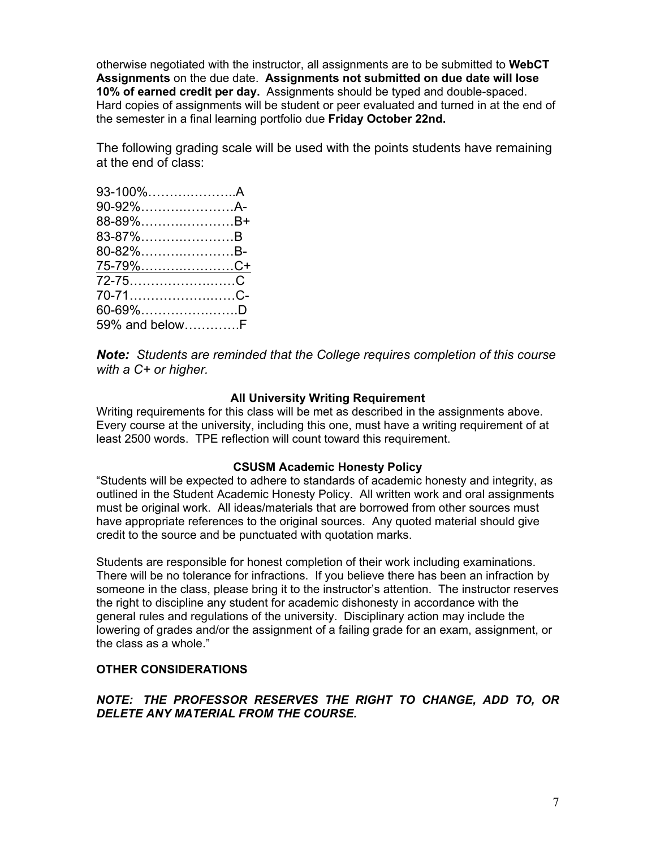otherwise negotiated with the instructor, all assignments are to be submitted to **WebCT Assignments** on the due date. **Assignments not submitted on due date will lose 10% of earned credit per day.** Assignments should be typed and double-spaced. Hard copies of assignments will be student or peer evaluated and turned in at the end of the semester in a final learning portfolio due **Friday October 22nd.**

The following grading scale will be used with the points students have remaining at the end of class:

| 93-100%A        |  |
|-----------------|--|
| 90-92%A-        |  |
| 88-89%B+        |  |
| 83-87%B         |  |
| 80-82%B-        |  |
| <u>75-79%C+</u> |  |
|                 |  |
| 70-71C-         |  |
| 60-69%D         |  |
| 59% and belowF  |  |

*Note: Students are reminded that the College requires completion of this course with a C+ or higher.*

### **All University Writing Requirement**

Writing requirements for this class will be met as described in the assignments above. Every course at the university, including this one, must have a writing requirement of at least 2500 words. TPE reflection will count toward this requirement.

#### **CSUSM Academic Honesty Policy**

"Students will be expected to adhere to standards of academic honesty and integrity, as outlined in the Student Academic Honesty Policy. All written work and oral assignments must be original work. All ideas/materials that are borrowed from other sources must have appropriate references to the original sources. Any quoted material should give credit to the source and be punctuated with quotation marks.

Students are responsible for honest completion of their work including examinations. There will be no tolerance for infractions. If you believe there has been an infraction by someone in the class, please bring it to the instructor's attention. The instructor reserves the right to discipline any student for academic dishonesty in accordance with the general rules and regulations of the university. Disciplinary action may include the lowering of grades and/or the assignment of a failing grade for an exam, assignment, or the class as a whole."

#### **OTHER CONSIDERATIONS**

# *NOTE: THE PROFESSOR RESERVES THE RIGHT TO CHANGE, ADD TO, OR DELETE ANY MATERIAL FROM THE COURSE.*